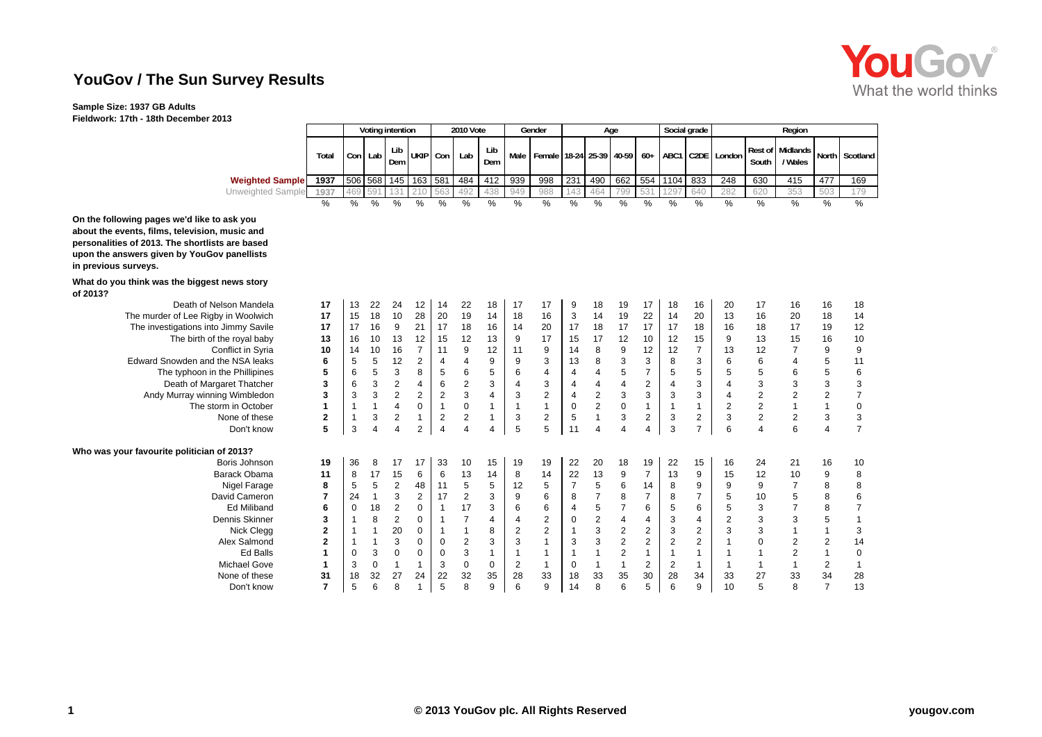## **YouGov / The Sun Survey Results**

## **Sample Size: 1937 GB Adults**

**Fieldwork: 17th - 18th December 2013**

| <b>You Gov</b>        |
|-----------------------|
| What the world thinks |

**Contract Contract** 

|                          |       |         |   | Voting intention |                     |     | 2010 Vote |            |     | Gender |     |      | Age |     |      | Social grade |                                                                    |       | Region                            |     |                |
|--------------------------|-------|---------|---|------------------|---------------------|-----|-----------|------------|-----|--------|-----|------|-----|-----|------|--------------|--------------------------------------------------------------------|-------|-----------------------------------|-----|----------------|
|                          | Total | Con Lab |   | Lib<br>Dem       | UKIP Con            |     | Lab       | Lib<br>Dem |     |        |     |      |     |     |      |              | Male   Female   18-24   25-39   40-59   60+   ABC1   C2DE   London | South | <b>Rest of Midlands</b><br>'Wales |     | North Scotland |
| <b>Weighted Sample</b>   | 1937  |         |   |                  | 506 568 145 163 581 |     | 484       | 412        | 939 | 998    | 231 | 490  | 662 | 554 | 1104 | 833          | 248                                                                | 630   | 415                               | 477 | 169            |
| <b>Unweighted Sample</b> | 1937  | 469 591 |   |                  | 210                 | 563 | 492       | 438        | 949 | 988    | 143 | 464  | 799 | 531 | 1297 | 640          | 282                                                                | 620   | 353                               | 503 | 179            |
|                          | %     | %       | % | $\%$             | %                   | ℅   | %         | %          | %   | $\%$   | %   | $\%$ | %   | %   | %    | %            | %                                                                  | $\%$  | %                                 | %   | %              |

**On the following pages we'd like to ask you about the events, films, television, music and personalities of 2013. The shortlists are based upon the answers given by YouGov panellists in previous surveys.**

## **What do you think was the biggest news story of 2013?**

| <b>UI ZU IJ!</b>                           |                |          |                |                |                |                |                |             |    |                |          |                |                |                |                |                |                |                |                |    |    |
|--------------------------------------------|----------------|----------|----------------|----------------|----------------|----------------|----------------|-------------|----|----------------|----------|----------------|----------------|----------------|----------------|----------------|----------------|----------------|----------------|----|----|
| Death of Nelson Mandela                    | 17             | 13       | 22             | 24             | 12             | 14             | 22             | 18          | 17 | 17             | 9        | 18             | 19             | 17             | 18             | 16             | 20             | 17             | 16             | 16 | 18 |
| The murder of Lee Rigby in Woolwich        | 17             | 15       | 18             | 10             | 28             | 20             | 19             | 14          | 18 | 16             | 3        | 14             | 19             | 22             | 14             | 20             | 13             | 16             | 20             | 18 | 14 |
| The investigations into Jimmy Savile       | 17             | 17       | 16             | 9              | 21             | 17             | 18             | 16          | 14 | 20             | 17       | 18             | 17             | 17             | 17             | 18             | 16             | 18             | 17             | 19 | 12 |
| The birth of the royal baby                | 13             | 16       | 10             | 13             | 12             | 15             | 12             | 13          | 9  | 17             | 15       | 17             | 12             | 10             | 12             | 15             | 9              | 13             | 15             | 16 | 10 |
| Conflict in Syria                          | 10             | 14       | 10             | 16             |                | 11             | 9              | 12          | 11 | 9              | 14       | 8              | 9              | 12             | 12             | $\overline{ }$ | 13             | 12             | $\overline{ }$ | 9  | 9  |
| Edward Snowden and the NSA leaks           | 6              | 5        | 5              | 12             | 2              | 4              |                | 9           | 9  | 3              | 13       | 8              | 3              | 3              | 8              | 3              | 6              | 6              |                |    | 11 |
| The typhoon in the Phillipines             | 5              | 6        | 5              | 3              | 8              | 5              | 6              | 5           | 6  | 4              |          |                | 5              |                | 5              | 5              | 5              | 5              | 6              |    | 6  |
| Death of Margaret Thatcher                 | 3              | 6        | 3              | $\overline{2}$ |                | 6              | $\overline{2}$ | 3           |    | 3              |          |                | 4              |                |                | 3              |                | 3              | 3              |    | 3  |
| Andy Murray winning Wimbledon              | 3              |          | 3              | $\overline{2}$ | $\overline{2}$ | $\overline{2}$ | 3              |             | 3  | $\overline{2}$ | 4        | $\overline{2}$ | 3              |                | 3              | 3              |                |                | 2              |    |    |
| The storm in October                       |                |          |                | 4              | 0              | 1              | $\Omega$       |             |    |                | $\Omega$ | $\overline{2}$ | $\Omega$       |                |                |                |                | $\overline{2}$ |                |    | C  |
| None of these                              | 2              |          | 3              | 2              |                | 2              | 2              |             | 3  | 2              | 5        |                | 3              | 2              | 3              | $\overline{2}$ | 3              | $\overline{2}$ | 2              | 3  | 3  |
| Don't know                                 | 5              | 3        | $\overline{4}$ | 4              | $\overline{2}$ | 4              | 4              |             | 5  | 5              | 11       | 4              | 4              |                | 3              |                | 6              | 4              | 6              |    |    |
| Who was your favourite politician of 2013? |                |          |                |                |                |                |                |             |    |                |          |                |                |                |                |                |                |                |                |    |    |
| Boris Johnson                              | 19             | 36       | 8              | 17             | 17             | 33             | 10             | 15          | 19 | 19             | 22       | 20             | 18             | 19             | 22             | 15             | 16             | 24             | 21             | 16 | 10 |
| Barack Obama                               | 11             | 8        | 17             | 15             | 6              | 6              | 13             | 14          | 8  | 14             | 22       | 13             | 9              | $\overline{7}$ | 13             | 9              | 15             | 12             | 10             | 9  | 8  |
| Nigel Farage                               | 8              | 5        | 5              | 2              | 48             | 11             | 5              | 5           | 12 | 5              |          | 5              | 6              | 14             | 8              | 9              | 9              | 9              |                | 8  | 8  |
| David Cameron                              | $\overline{7}$ | 24       |                | 3              | 2              | 17             | $\overline{2}$ | 3           | 9  | 6              | 8        |                | 8              |                | 8              |                | 5              | 10             | 5              |    | 6  |
| <b>Ed Miliband</b>                         | 6              | $\Omega$ | 18             | $\overline{2}$ | 0              |                | 17             | 3           | 6  | 6              |          | 5              |                | 6              | 5              | 6              | 5              | 3              |                |    |    |
| Dennis Skinner                             | 3              |          | 8              | 2              |                |                |                |             |    | 2              | $\Omega$ | $\overline{2}$ |                |                | 3              |                | $\overline{2}$ |                | 3              |    |    |
| Nick Clegg                                 | 2              |          |                | 20             | 0              |                |                | 8           | 2  | $\overline{2}$ |          | 3              | 2              | 2              | 3              | $\overline{2}$ | 3              | 3              |                |    | З  |
| Alex Salmond                               | $\mathbf{2}$   |          |                |                |                |                |                | 3           |    |                |          | 3              | $\overline{2}$ |                |                | $\overline{2}$ |                |                |                |    | 14 |
| <b>Ed Balls</b>                            |                | n        | 3              | $\Omega$       | 0              | 0              | 3              |             |    |                |          |                | $\overline{2}$ |                |                |                |                |                | 2              |    | 0  |
| <b>Michael Gove</b>                        |                |          | 0              |                |                | 3              | 0              | $\mathbf 0$ | 2  |                |          |                |                | 2              | $\overline{2}$ |                |                |                |                |    |    |
| None of these                              | 31             | 18       | 32             | 27             | 24             | 22             | 32             | 35          | 28 | 33             | 18       | 33             | 35             | 30             | 28             | 34             | 33             | 27             | 33             | 34 | 28 |
| Don't know                                 | 7              | 5        | 6              |                |                | 5              | 8              | 9           | 6  | 9              | 14       | 8              | 6              |                |                | 9              | 10             | 5              | 8              |    | 13 |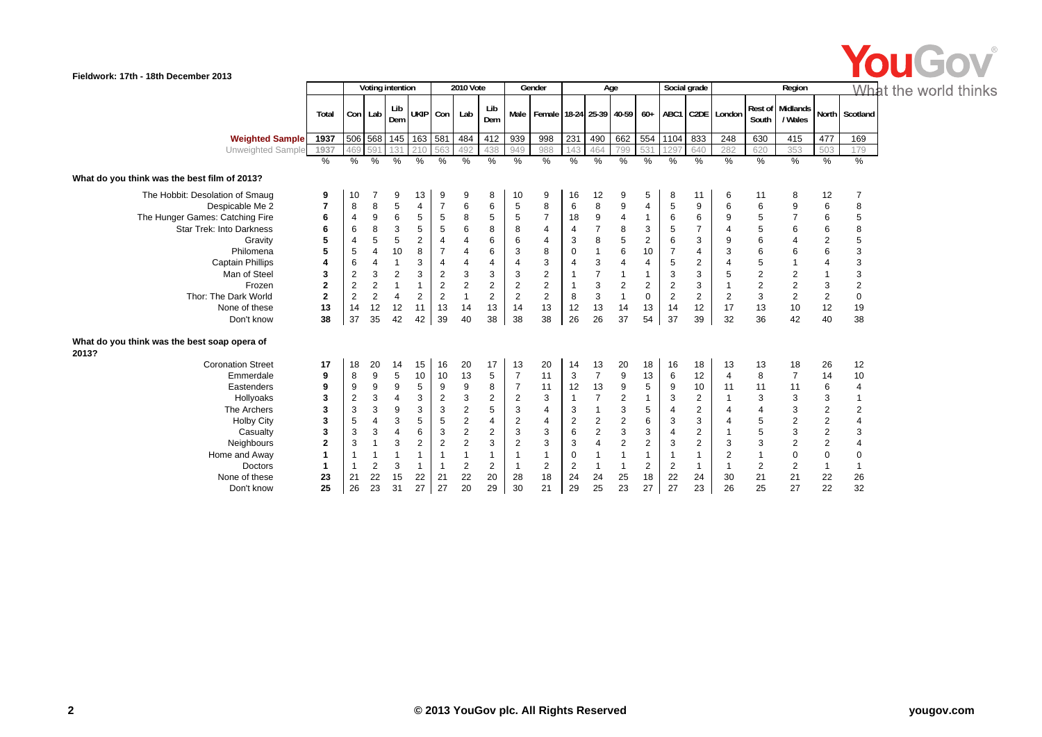

|                                                       |                |                |                | Voting intention |                |                | <b>2010 Vote</b>        |                |                | Gender                          |                |                | Age                     |                         | Social grade   |                         |                      |                         | Region                             |                         | Wh                      |
|-------------------------------------------------------|----------------|----------------|----------------|------------------|----------------|----------------|-------------------------|----------------|----------------|---------------------------------|----------------|----------------|-------------------------|-------------------------|----------------|-------------------------|----------------------|-------------------------|------------------------------------|-------------------------|-------------------------|
|                                                       | Total          | Con Lab        |                | Lib<br>Dem       | UKIP Con       |                | Lab                     | Lib<br>Dem     |                | Male   Female 18-24 25-39 40-59 |                |                |                         |                         |                |                         | 60+ ABC1 C2DE London | South                   | <b>Rest of Midlands</b><br>/ Wales |                         | North Scotland          |
| <b>Weighted Sample</b>                                | 1937           |                |                | 506 568 145 163  |                | 581            | 484                     | 412            | 939            | 998                             | 231            | 490            | 662                     |                         | 554 1104       | 833                     | 248                  | 630                     | 415                                | 477                     | 169                     |
| Unweighted Sample                                     | 1937           | 469            | 59             | 131              | 21C            | 563            | 492                     | 438            | 949            | 988                             | 143            | 464            | 799                     | 531                     | 1297           | 640                     | 282                  | 620                     | 353                                | 503                     | 179                     |
|                                                       | %              | %              | $\frac{0}{0}$  | $\frac{0}{0}$    | $\%$           | %              | $\%$                    | %              | $\%$           | $\frac{9}{6}$                   | %              | $\%$           | $\frac{9}{6}$           | %                       | %              | %                       | %                    | $\frac{9}{6}$           | %                                  | %                       | %                       |
| What do you think was the best film of 2013?          |                |                |                |                  |                |                |                         |                |                |                                 |                |                |                         |                         |                |                         |                      |                         |                                    |                         |                         |
| The Hobbit: Desolation of Smaug                       | 9              | 10             | 7              | 9                | 13             | 9              | 9                       | 8              | 10             | 9                               | 16             | 12             | 9                       | 5                       | 8              | 11                      | 6                    | 11                      | 8                                  | 12                      | 7                       |
| Despicable Me 2                                       | $\overline{7}$ | 8              | 8              | 5                | 4              | $\overline{7}$ | 6                       | 6              | 5              | 8                               | 6              | 8              | 9                       | 4                       | 5              | 9                       |                      | 6                       | 9                                  | 6                       | 8                       |
| The Hunger Games: Catching Fire                       | 6              | $\overline{4}$ | 9              | 6                | 5              | 5              | 8                       | 5              | 5              | $\overline{7}$                  | 18             | 9              | $\overline{\mathbf{4}}$ |                         | 6              | 6                       | 9                    | 5                       | $\overline{7}$                     | 6                       | 5                       |
| <b>Star Trek: Into Darkness</b>                       | 6              | 6              | 8              | 3                | 5              | 5              | 6                       | 8              | 8              | $\overline{4}$                  | $\overline{4}$ | $\overline{7}$ | 8                       | 3                       | 5              | $\overline{7}$          |                      | 5                       | 6                                  | 6                       | 8                       |
| Gravity                                               | 5              | 4              | 5              | 5                | $\overline{c}$ | $\overline{4}$ | 4                       | 6              | 6              | $\overline{4}$                  | 3              | 8              | 5                       | $\overline{\mathbf{c}}$ | 6              | 3                       | 9                    | 6                       | 4                                  | $\boldsymbol{2}$        | 5                       |
| Philomena                                             | 5              | 5              | $\overline{4}$ | 10               | 8              |                | 4                       | 6              | 3              | 8                               | 0              | $\mathbf{1}$   | 6                       | 10                      | $\overline{7}$ | 4                       | 3                    | 6                       | 6                                  | 6                       | 3                       |
| <b>Captain Phillips</b>                               | 4              | 6              | $\overline{4}$ | $\overline{1}$   | 3              | $\overline{4}$ | 4                       | 4              | $\overline{4}$ | 3                               | $\overline{4}$ | 3              | 4                       | 4                       | $\sqrt{5}$     | $\overline{\mathbf{c}}$ |                      | 5                       |                                    | 4                       | 3                       |
| Man of Steel                                          | 3              | $\overline{2}$ | 3              | $\overline{c}$   | 3              | $\overline{2}$ | 3                       | 3              | 3              | $\overline{2}$                  |                | $\overline{7}$ |                         |                         | 3              | 3                       | 5                    | $\overline{\mathbf{c}}$ | $\overline{\mathbf{c}}$            |                         | 3                       |
| Frozen                                                | $\overline{2}$ | $\overline{2}$ | $\overline{2}$ | $\mathbf{1}$     | $\mathbf{1}$   | $\overline{2}$ | $\overline{2}$          | $\mathbf{2}$   | $\overline{2}$ | 2                               |                | 3              | $\mathbf{2}$            | 2                       | $\overline{2}$ | 3                       |                      | $\overline{2}$          | $\overline{2}$                     | 3                       | $\overline{c}$          |
| Thor: The Dark World                                  | $\mathbf{2}$   | 2              | $\overline{2}$ | $\overline{4}$   | $\overline{2}$ | $\overline{2}$ | $\mathbf{1}$            | $\overline{2}$ | $\overline{2}$ | $\overline{2}$                  | 8              | $\mathbf{3}$   | $\mathbf{1}$            | $\mathbf 0$             | $\overline{2}$ | $\overline{2}$          | $\overline{c}$       | 3                       | $\overline{2}$                     | 2                       | $\pmb{0}$               |
| None of these                                         | 13             | 14             | 12             | 12               | 11             | 13             | 14                      | 13             | 14             | 13                              | 12             | 13             | 14                      | 13                      | 14             | 12                      | 17                   | 13                      | 10                                 | 12                      | 19                      |
| Don't know                                            | 38             | 37             | 35             | 42               | 42             | 39             | 40                      | 38             | 38             | 38                              | 26             | 26             | 37                      | 54                      | 37             | 39                      | 32                   | 36                      | 42                                 | 40                      | 38                      |
| What do you think was the best soap opera of<br>2013? |                |                |                |                  |                |                |                         |                |                |                                 |                |                |                         |                         |                |                         |                      |                         |                                    |                         |                         |
| <b>Coronation Street</b>                              | 17             | 18             | 20             | 14               | 15             | 16             | 20                      | 17             | 13             | 20                              | 14             | 13             | 20                      | 18                      | 16             | 18                      | 13                   | 13                      | 18                                 | 26                      | 12                      |
| Emmerdale                                             | 9              | 8              | 9              | 5                | 10             | 10             | 13                      | 5              | $\overline{7}$ | 11                              | 3              | $\overline{7}$ | 9                       | 13                      | 6              | 12                      | 4                    | 8                       | $\overline{7}$                     | 14                      | 10                      |
| Eastenders                                            | 9              | 9              | 9              | 9                | 5              | 9              | 9                       | 8              |                | 11                              | 12             | 13             | 9                       | 5                       | 9              | 10                      | 11                   | 11                      | 11                                 | 6                       | 4                       |
| Hollyoaks                                             | 3              | 2              | 3              | 4                | 3              | $\overline{2}$ | 3                       | 2              | 2              | 3                               |                | $\overline{7}$ | $\mathbf 2$             |                         | 3              | $\overline{2}$          |                      | 3                       | 3                                  | 3                       | $\mathbf{1}$            |
| The Archers                                           | 3              | 3              | 3              | 9                | 3              | 3              | $\overline{\mathbf{c}}$ | 5              | 3              | $\overline{4}$                  | 3              | $\mathbf{1}$   | 3                       | 5                       | $\overline{4}$ | $\sqrt{2}$              |                      | 4                       | 3                                  | $\boldsymbol{2}$        | $\overline{\mathbf{c}}$ |
| <b>Holby City</b>                                     | 3              | 5              | $\overline{4}$ | 3                | 5              | 5              | $\mathbf 2$             | 4              | $\sqrt{2}$     | $\overline{4}$                  | 2              | $\sqrt{2}$     | $\boldsymbol{2}$        | 6                       | 3              | 3                       |                      | 5                       | $\mathbf 2$                        | $\sqrt{2}$              | 4                       |
| Casualty                                              | 3              | 3              | 3              | 4                | 6              | 3              | $\overline{\mathbf{c}}$ | $\overline{c}$ | 3              | 3                               | 6              | $\sqrt{2}$     | 3                       | 3                       | $\overline{4}$ | $\sqrt{2}$              |                      | 5                       | 3                                  | $\boldsymbol{2}$        | 3                       |
| Neighbours                                            | 2              | 3              |                | 3                | $\overline{2}$ | $\overline{2}$ | $\overline{c}$          | 3              | $\overline{2}$ | 3                               | 3              | $\overline{4}$ | $\overline{c}$          | $\overline{\mathbf{c}}$ | 3              | $\overline{2}$          | 3                    | 3                       | $\overline{2}$                     | $\overline{\mathbf{c}}$ |                         |
| Home and Away                                         |                |                |                |                  | $\mathbf{1}$   |                |                         |                |                |                                 | 0              | $\mathbf{1}$   | 1                       |                         | $\mathbf{1}$   |                         | 2                    |                         | 0                                  | $\mathbf 0$             | $\mathbf 0$             |
| <b>Doctors</b>                                        |                |                | 2              | 3                | $\mathbf{1}$   |                | 2                       | $\overline{2}$ |                | 2                               | 2              | $\mathbf{1}$   | 1                       | 2                       | $\overline{2}$ |                         |                      | 2                       | 2                                  |                         |                         |
| None of these                                         | 23             | 21             | 22             | 15               | 22             | 21             | 22                      | 20             | 28             | 18                              | 24             | 24             | 25                      | 18                      | 22             | 24                      | 30                   | 21                      | 21                                 | 22                      | 26                      |
| Don't know                                            | 25             | 26             | 23             | 31               | 27             | 27             | 20                      | 29             | 30             | 21                              | 29             | 25             | 23                      | 27                      | 27             | 23                      | 26                   | 25                      | 27                                 | 22                      | 32                      |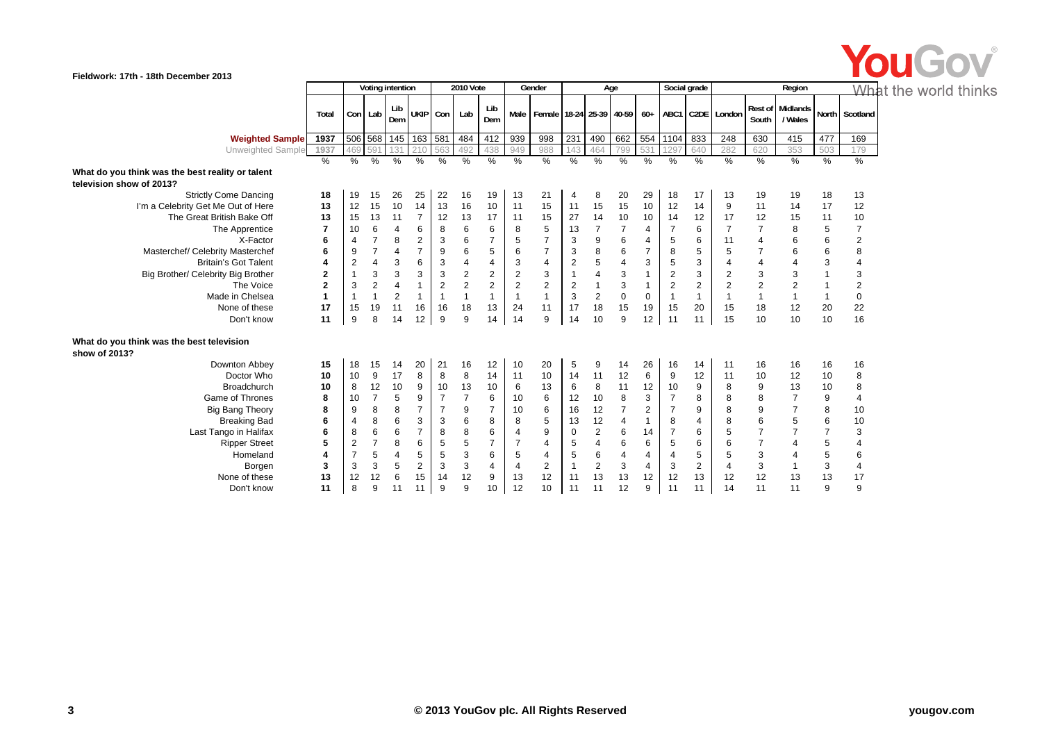

|                                                            |                  |                |                | Voting intention |                |                | 2010 Vote      |                |                  | Gender                                |                | Age              |                         |                |                         | Social grade   |                      |                         | Region                             |                | Wh                      |
|------------------------------------------------------------|------------------|----------------|----------------|------------------|----------------|----------------|----------------|----------------|------------------|---------------------------------------|----------------|------------------|-------------------------|----------------|-------------------------|----------------|----------------------|-------------------------|------------------------------------|----------------|-------------------------|
|                                                            | Total            |                | Con Lab        | Lib<br>Dem       | <b>UKIP</b>    | Con            | Lab            | Lib<br>Dem     |                  | Male   Female   18-24   25-39   40-59 |                |                  |                         |                |                         |                | 60+ ABC1 C2DE London | South                   | <b>Rest of Midlands</b><br>/ Wales | <b>North</b>   | Scotland                |
| <b>Weighted Sample</b>                                     | 1937             |                | 506 568        | 145              | 163 581        |                | 484            | 412            | 939              | 998                                   | 231            | 490              | 662                     | 554            | 1104                    | 833            | 248                  | 630                     | 415                                | 477            | 169                     |
| Unweighted Sample                                          | 1937             | 469            | 591            | 131              | 210            | 563            | 492            | 438            | 949              | 988                                   | 143            | 464              | 799                     | 531            | 1297                    | 640            | 282                  | 620                     | 353                                | 503            | 179                     |
|                                                            | $\frac{0}{0}$    | $\frac{9}{6}$  | $\frac{9}{6}$  | $\frac{9}{6}$    | $\%$           | %              | %              | %              | %                | %                                     | %              | %                | %                       | %              | $\frac{9}{6}$           | $\frac{0}{0}$  | $\frac{9}{6}$        | $\frac{9}{6}$           | %                                  | %              | %                       |
| What do you think was the best reality or talent           |                  |                |                |                  |                |                |                |                |                  |                                       |                |                  |                         |                |                         |                |                      |                         |                                    |                |                         |
| television show of 2013?                                   |                  |                |                |                  |                |                |                |                |                  |                                       |                |                  |                         |                |                         |                |                      |                         |                                    |                |                         |
| <b>Strictly Come Dancing</b>                               | 18               | 19             | 15             | 26               | 25             | 22             | 16             | 19             | 13               | 21                                    | 4              | 8                | 20                      | 29             | 18                      | 17             | 13                   | 19                      | 19                                 | 18             | 13                      |
| I'm a Celebrity Get Me Out of Here                         | 13               | 12             | 15             | 10               | 14             | 13             | 16             | 10             | 11               | 15                                    | 11             | 15               | 15                      | 10             | 12                      | 14             | 9                    | 11                      | 14                                 | 17             | 12                      |
| The Great British Bake Off                                 | 13               | 15             | 13             | 11               | $\overline{7}$ | 12             | 13             | 17             | 11               | 15                                    | 27             | 14               | 10                      | 10             | 14                      | 12             | 17                   | 12                      | 15                                 | 11             | $10$                    |
| The Apprentice                                             | $\overline{7}$   | 10             | 6              | $\overline{4}$   | 6              | 8              | 6              | 6              | 8                | 5                                     | 13             | $\overline{7}$   | $\overline{7}$          | $\overline{4}$ | $\overline{7}$          | 6              | $\overline{7}$       | $\overline{7}$          | 8                                  | 5              | $\boldsymbol{7}$        |
| X-Factor                                                   | 6                | 4              |                | 8                | 2              | 3              | 6              | $\overline{7}$ | 5                | $\overline{7}$                        | 3              | 9                | 6                       | 4              | 5                       | 6              | 11                   | 4                       | 6                                  | 6              | $\overline{\mathbf{c}}$ |
| Masterchef/ Celebrity Masterchef                           | 6                | 9              | $\overline{7}$ | $\overline{4}$   | $\overline{7}$ | 9              | 6              | $\sqrt{5}$     | 6                | $\overline{7}$                        | 3              | 8                | 6                       | $\overline{7}$ | 8                       | 5              | 5                    | 7                       | 6                                  | 6              | 8                       |
| <b>Britain's Got Talent</b>                                | 4                | $\overline{2}$ | $\overline{4}$ | 3                | 6              | 3              | 4              | $\overline{4}$ | 3                | $\overline{\mathbf{4}}$               | $\overline{2}$ | 5                | $\overline{\mathbf{4}}$ | 3              | $\sqrt{5}$              | 3              | 4                    | 4                       |                                    | 3              | 4                       |
| Big Brother/ Celebrity Big Brother                         | $\bf{2}$         | $\mathbf{1}$   | 3              | 3                | 3              | 3              | $\overline{2}$ | $\overline{2}$ | $\boldsymbol{2}$ | 3                                     |                | 4                | 3                       | $\mathbf 1$    | $\sqrt{2}$              | 3              | $\overline{2}$       | 3                       | 3                                  |                | 3                       |
| The Voice                                                  | $\overline{2}$   | 3              | $\overline{2}$ | $\overline{4}$   |                | $\overline{2}$ | $\overline{2}$ | 2              | $\boldsymbol{2}$ | $\overline{2}$                        | $\overline{2}$ | $\mathbf{1}$     | 3                       | $\overline{1}$ | $\overline{\mathbf{c}}$ | $\overline{c}$ | $\overline{2}$       | $\overline{\mathbf{c}}$ | 2                                  |                | $\overline{c}$          |
| Made in Chelsea                                            | $\mathbf{1}$     | $\mathbf{1}$   | 1              | $\overline{2}$   | $\mathbf{1}$   | $\overline{1}$ | 1              | $\mathbf{1}$   |                  | $\mathbf{1}$                          | 3              | $\boldsymbol{2}$ | $\mathbf 0$             | $\mathbf 0$    | $\mathbf{1}$            | $\overline{1}$ | $\mathbf{1}$         | $\mathbf{1}$            |                                    |                | $\pmb{0}$               |
| None of these                                              | 17               | 15             | 19             | 11               | 16             | 16             | 18             | 13             | 24               | 11                                    | 17             | 18               | 15                      | 19             | 15                      | 20             | 15                   | 18                      | 12                                 | 20             | 22                      |
| Don't know                                                 | 11               | 9              | 8              | 14               | 12             | 9              | 9              | 14             | 14               | 9                                     | 14             | 10               | 9                       | 12             | 11                      | 11             | 15                   | 10                      | 10                                 | 10             | 16                      |
| What do you think was the best television<br>show of 2013? |                  |                |                |                  |                |                |                |                |                  |                                       |                |                  |                         |                |                         |                |                      |                         |                                    |                |                         |
| Downton Abbey                                              | 15               | 18             | 15             | 14               | 20             | 21             | 16             | 12             | 10               | 20                                    | 5              | 9                | 14                      | 26             | 16                      | 14             | 11                   | 16                      | 16                                 | 16             | 16                      |
| Doctor Who                                                 | 10               | 10             | 9              | 17               | 8              | 8              | 8              | 14             | 11               | 10                                    | 14             | 11               | 12                      | 6              | 9                       | 12             | 11                   | 10                      | 12                                 | 10             | 8                       |
| <b>Broadchurch</b>                                         | 10               | 8              | 12             | 10               | 9              | 10             | 13             | 10             | 6                | 13                                    | 6              | 8                | 11                      | 12             | 10                      | 9              | 8                    | 9                       | 13                                 | 10             | 8                       |
| <b>Game of Thrones</b>                                     | 8                | 10             | $\overline{7}$ | 5                | 9              | $\overline{7}$ | $\overline{7}$ | 6              | 10               | 6                                     | 12             | 10               | 8                       | 3              | $\overline{7}$          | 8              | 8                    | 8                       | $\overline{7}$                     | 9              | $\overline{\mathbf{4}}$ |
| <b>Big Bang Theory</b>                                     | 8                | 9              | 8              | 8                | $\overline{7}$ | $\overline{7}$ | 9              | $\overline{7}$ | 10               | 6                                     | 16             | 12               | $\overline{7}$          | 2              | $\overline{7}$          | 9              | 8                    | 9                       | $\overline{7}$                     | 8              | 10                      |
| <b>Breaking Bad</b>                                        | 6                | 4              | 8              | 6                | 3              | 3              | 6              | 8              | 8                | 5                                     | 13             | 12               | 4                       | $\mathbf 1$    | 8                       | 4              | 8                    | 6                       | 5                                  | 6              | 10                      |
| Last Tango in Halifax                                      | 6                | 8              | 6              | 6                | $\overline{7}$ | 8              | 8              | 6              | $\overline{4}$   | 9                                     | $\mathbf 0$    | $\overline{2}$   | 6                       | 14             | $\overline{7}$          | 6              | 5                    | $\overline{7}$          | 7                                  | $\overline{7}$ | 3                       |
| <b>Ripper Street</b>                                       | 5                | $\overline{2}$ | $\overline{7}$ | 8                | 6              | 5              | 5              | $\overline{7}$ | $\overline{7}$   | $\overline{4}$                        | 5              | $\overline{4}$   | 6                       | 6              | 5                       | 6              | 6                    | $\overline{7}$          | 4                                  | 5              | 4                       |
| Homeland                                                   | $\boldsymbol{A}$ | $\overline{7}$ | 5              | 4                | 5              | 5              | 3              | 6              | 5                | 4                                     | 5              | 6                | $\overline{4}$          | 4              | $\overline{4}$          | 5              | 5                    | 3                       |                                    | 5              | 6                       |
| Borgen                                                     | 3                | 3              | 3              | 5                | 2              | 3              | 3              | $\overline{4}$ | $\overline{4}$   | 2                                     | -1             | $\overline{2}$   | 3                       | $\overline{4}$ | 3                       | 2              | 4                    | 3                       |                                    | 3              | 4                       |
| None of these                                              | 13               | 12             | 12             | 6                | 15             | 14             | 12             | 9              | 13               | 12                                    | 11             | 13               | 13                      | 12             | 12                      | 13             | 12                   | 12                      | 13                                 | 13             | 17                      |
| Don't know                                                 | 11               | 8              | 9              | 11               | 11             | 9              | 9              | 10             | 12               | 10                                    | 11             | 11               | 12                      | 9              | 11                      | 11             | 14                   | 11                      | 11                                 | 9              | 9                       |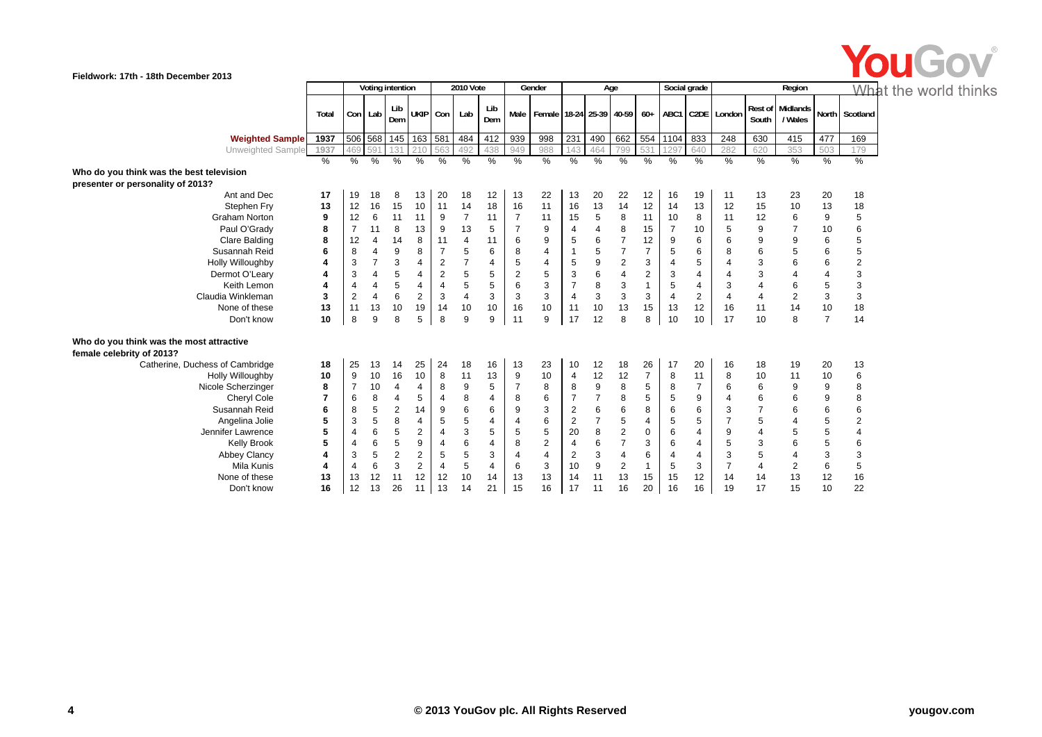

|                                                                       |               |                |                | Voting intention |                |                | <b>2010 Vote</b> |                |                | Gender                                |                |                | Age                     |                |                | Social grade   |                      |                | Region                      |                | Wh                        |
|-----------------------------------------------------------------------|---------------|----------------|----------------|------------------|----------------|----------------|------------------|----------------|----------------|---------------------------------------|----------------|----------------|-------------------------|----------------|----------------|----------------|----------------------|----------------|-----------------------------|----------------|---------------------------|
|                                                                       | Total         |                | Con Lab        | Lib<br>Dem       |                | UKIP Con       | Lab              | Lib<br>Dem     |                | Male   Female   18-24   25-39   40-59 |                |                |                         |                |                |                | 60+ ABC1 C2DE London | South          | Rest of Midlands<br>/ Wales |                | North Scotland            |
| <b>Weighted Sample</b>                                                | 1937          | 506            | 568            | 145              | 163 581        |                | 484              | 412            | 939            | 998                                   | 231            | 490            | 662                     | 554            | 1104           | 833            | 248                  | 630            | 415                         | 477            | 169                       |
| Unweighted Sample                                                     | 1937          | 469            | 591            | 131              | 210            | 563            | 492              | 438            | 949            | 988                                   | 143            | 464            | 799                     | 531            | 1297           | 640            | 282                  | 620            | 353                         | 503            | 179                       |
|                                                                       | $\frac{0}{0}$ | $\frac{9}{6}$  | $\frac{0}{0}$  | $\%$             | $\%$           | %              | %                | %              | %              | %                                     | %              | %              | %                       | %              | %              | %              | $\frac{9}{6}$        | $\frac{9}{6}$  | %                           | %              | %                         |
| Who do you think was the best television                              |               |                |                |                  |                |                |                  |                |                |                                       |                |                |                         |                |                |                |                      |                |                             |                |                           |
| presenter or personality of 2013?                                     |               |                |                |                  |                |                |                  |                |                |                                       |                |                |                         |                |                |                |                      |                |                             |                |                           |
| Ant and Dec                                                           | 17            | 19             | 18             | 8                | 13             | 20             | 18               | 12             | 13             | 22                                    | 13             | 20             | 22                      | 12             | 16             | 19             | 11                   | 13             | 23                          | 20             | 18                        |
| Stephen Fry                                                           | 13            | 12             | 16             | 15               | 10             | 11             | 14               | 18             | 16             | 11                                    | 16             | 13             | 14                      | 12             | 14             | 13             | 12                   | 15             | 10                          | 13             | 18                        |
| <b>Graham Norton</b>                                                  | 9             | 12             | 6              | 11               | 11             | 9              | $\overline{7}$   | 11             | $\overline{7}$ | 11                                    | 15             | 5              | 8                       | 11             | 10             | 8              | 11                   | 12             | 6                           | 9              | 5                         |
| Paul O'Grady                                                          | 8             | $\overline{7}$ | 11             | 8                | 13             | 9              | 13               | 5              | 7              | 9                                     | $\overline{4}$ | $\overline{4}$ | 8                       | 15             | $\overline{7}$ | 10             | 5                    | 9              | 7                           | 10             | 6                         |
| <b>Clare Balding</b>                                                  | 8             | 12             | 4              | 14               | 8              | 11             | 4                | 11             | 6              | 9                                     | 5              | 6              | $\overline{7}$          | 12             | 9              | 6              | 6                    | 9              | 9                           | 6              | 5                         |
| Susannah Reid                                                         | 6             | 8              | $\overline{4}$ | 9                | 8              | $\overline{7}$ | 5                | 6              | 8              | 4                                     |                | 5              | $\overline{7}$          | $\overline{7}$ | 5              | 6              | 8                    | 6              | 5                           | 6              | 5                         |
| Holly Willoughby                                                      | 4             | 3              | $\overline{7}$ | 3                | 4              | $\overline{2}$ | $\overline{7}$   | $\overline{4}$ | 5              | 4                                     | 5              | 9              | $\overline{c}$          | 3              | $\overline{4}$ | 5              | 4                    | 3              | 6                           | 6              | 2                         |
| Dermot O'Leary                                                        |               | 3              | 4              | 5                | 4              | $\overline{2}$ | 5                | 5              | $\overline{2}$ | 5                                     | 3              | 6              | $\overline{\mathbf{4}}$ | 2              | 3              | 4              | 4                    | 3              |                             | 4              | 3                         |
| Keith Lemon                                                           | 4             | $\overline{4}$ | 4              | 5                | 4              | $\overline{4}$ | 5                | 5              | 6              | 3                                     | $\overline{7}$ | 8              | 3                       | $\overline{1}$ | 5              | 4              | 3                    | 4              | 6                           | 5              | 3                         |
| Claudia Winkleman                                                     | 3             | $\overline{c}$ | $\overline{4}$ | 6                | $\overline{2}$ | 3              | $\overline{4}$   | 3              | 3              | 3                                     | $\overline{4}$ | 3              | $\mathsf 3$             | 3              | $\overline{4}$ | $\overline{2}$ | 4                    | $\overline{4}$ | 2                           | 3              | $\ensuremath{\mathsf{3}}$ |
| None of these                                                         | 13            | 11             | 13             | 10               | 19             | 14             | 10               | 10             | 16             | 10                                    | 11             | 10             | 13                      | 15             | 13             | 12             | 16                   | 11             | 14                          | 10             | 18                        |
| Don't know                                                            | 10            | 8              | 9              | 8                | 5              | 8              | 9                | 9              | 11             | 9                                     | 17             | 12             | 8                       | 8              | 10             | 10             | 17                   | 10             | 8                           | $\overline{7}$ | 14                        |
| Who do you think was the most attractive<br>female celebrity of 2013? |               |                |                |                  |                |                |                  |                |                |                                       |                |                |                         |                |                |                |                      |                |                             |                |                           |
| Catherine, Duchess of Cambridge                                       | 18            | 25             | 13             | 14               | 25             | 24             | 18               | 16             | 13             | 23                                    | 10             | 12             | 18                      | 26             | 17             | 20             | 16                   | 18             | 19                          | 20             | 13                        |
| Holly Willoughby                                                      | 10            | 9              | 10             | 16               | 10             | 8              | 11               | 13             | 9              | 10                                    | $\overline{4}$ | 12             | 12                      | $\overline{7}$ | 8              | 11             | 8                    | 10             | 11                          | 10             | 6                         |
| Nicole Scherzinger                                                    | 8             | $\overline{7}$ | 10             | 4                | 4              | 8              | 9                | 5              | $\overline{7}$ | 8                                     | 8              | 9              | 8                       | 5              | 8              | $\overline{7}$ | 6                    | 6              | 9                           | 9              | 8                         |
| Cheryl Cole                                                           | 7             | 6              | 8              | 4                | 5              | 4              | 8                | $\overline{4}$ | 8              | 6                                     | 7              | $\overline{7}$ | 8                       | 5              | 5              | 9              | 4                    | 6              | 6                           | 9              | 8                         |
| Susannah Reid                                                         | 6             | 8              | 5              | $\overline{2}$   | 14             | 9              | 6                | 6              | 9              | 3                                     | $\overline{2}$ | 6              | 6                       | 8              | 6              | 6              | 3                    | $\overline{7}$ | 6                           | 6              | 6                         |
| Angelina Jolie                                                        | 5             | 3              | 5              | 8                | 4              | 5              | 5                | $\overline{4}$ | $\overline{4}$ | 6                                     | $\overline{2}$ | $\overline{7}$ | 5                       | 4              | 5              | 5              | 7                    | 5              | 4                           | 5              | $\overline{\mathbf{c}}$   |
| Jennifer Lawrence                                                     | 5             | 4              | 6              | 5                | $\overline{2}$ | 4              | 3                | 5              | 5              | 5                                     | 20             | 8              | $\overline{2}$          | 0              | 6              | $\overline{4}$ | 9                    | 4              | 5                           | 5              | 4                         |
| <b>Kelly Brook</b>                                                    | 5             | 4              | 6              | 5                | 9              | 4              | 6                | $\overline{4}$ | 8              | $\mathbf{2}$                          | 4              | 6              | $\overline{7}$          | 3              | 6              | 4              | 5                    | 3              | 6                           | 5              | 6                         |
| <b>Abbey Clancy</b>                                                   | 4             | 3              | 5              | 2                | $\overline{2}$ | 5              | 5                | 3              | 4              | 4                                     | 2              | 3              | $\overline{4}$          | 6              | 4              | 4              | 3                    | 5              | 4                           | 3              | 3                         |
| Mila Kunis                                                            | 4             | 4              | 6              | 3                | $\overline{2}$ | 4              | 5                | $\overline{4}$ | 6              | 3                                     | 10             | 9              | $\overline{2}$          | $\overline{1}$ | 5              | 3              | $\overline{7}$       | 4              | 2                           | 6              | 5                         |
| None of these                                                         | 13            | 13             | 12             | 11               | 12             | 12             | 10               | 14             | 13             | 13                                    | 14             | 11             | 13                      | 15             | 15             | 12             | 14                   | 14             | 13                          | 12             | 16                        |
| Don't know                                                            | 16            | 12             | 13             | 26               | 11             | 13             | 14               | 21             | 15             | 16                                    | 17             | 11             | 16                      | 20             | 16             | 16             | 19                   | 17             | 15                          | 10             | 22                        |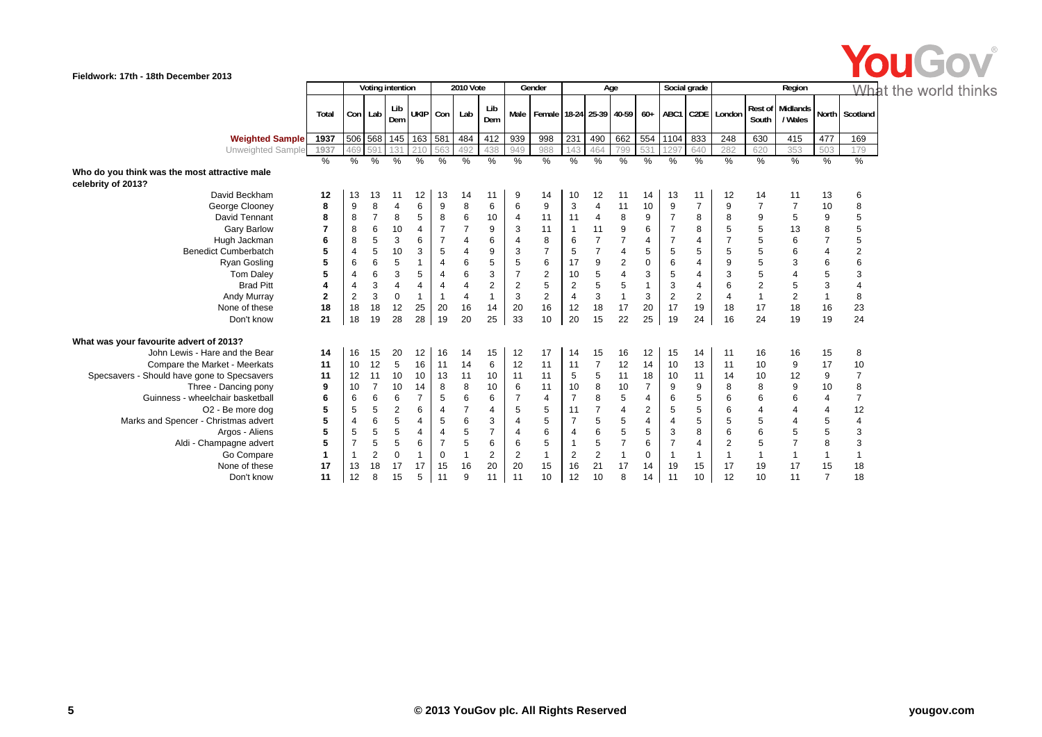

|                                                                     |                |                |                | Voting intention |                     |                | 2010 Vote      |                |                | Gender                                      |                | Age                     |     |                  | Social grade     |                |                |                  | Region              |                | <u>Wha</u> f   |  |
|---------------------------------------------------------------------|----------------|----------------|----------------|------------------|---------------------|----------------|----------------|----------------|----------------|---------------------------------------------|----------------|-------------------------|-----|------------------|------------------|----------------|----------------|------------------|---------------------|----------------|----------------|--|
|                                                                     | Total          |                | Con Lab        | Lib<br>Dem       |                     | UKIP Con       | Lab            | Lib<br>Dem     |                | Male   Female   18-24   25-39   40-59   60+ |                |                         |     |                  | ABC <sub>1</sub> |                | C2DE London    | Rest of<br>South | Midlands<br>/ Wales |                | North Scotland |  |
| <b>Weighted Sample</b>                                              | 1937           |                |                |                  | 506 568 145 163 581 |                | 484            | 412            | 939            | 998                                         | 231            | 490                     | 662 | 554              | 1104             | 833            | 248            | 630              | 415                 | 477            | 169            |  |
| Unweighted Sample                                                   | 1937           | 469            | 591            | 131              | 210                 | 563            | 492            | 438            | 949            | 988                                         | 143            | 464                     | 799 | 531              | 1297             | 640            | 282            | 620              | 353                 | 503            | 179            |  |
|                                                                     | %              | %              | %              | $\%$             | %                   | %              | %              | %              | $\%$           | %                                           | %              | $\%$                    | %   | $\frac{9}{6}$    | %                | $\%$           | %              | %                | %                   | $\%$           | %              |  |
| Who do you think was the most attractive male<br>celebrity of 2013? |                |                |                |                  |                     |                |                |                |                |                                             |                |                         |     |                  |                  |                |                |                  |                     |                |                |  |
| David Beckham                                                       | 12             | 13             | 13             | 11               | 12                  | 13             | 14             | 11             | 9              | 14                                          | 10             | 12                      | 11  | 14               | 13               | 11             | 12             | 14               | 11                  | 13             | 6              |  |
| George Clooney                                                      | 8              | 9              | 8              | $\overline{4}$   | 6                   | 9              | 8              | 6              | 6              | 9                                           | 3              | 4                       | 11  | 10               | 9                | $\overline{7}$ | 9              |                  | $\overline{7}$      | 10             | 8              |  |
| David Tennant                                                       | 8              | 8              | $\overline{7}$ | 8                | 5                   | 8              | 6              | 10             | $\overline{4}$ | 11                                          | 11             | 4                       | 8   | 9                |                  | 8              | 8              | 9                | 5                   | 9              | 5              |  |
| <b>Gary Barlow</b>                                                  | $\overline{7}$ | 8              | 6              | 10               | 4                   | $\overline{7}$ | $\overline{7}$ | 9              | 3              | 11                                          | 1              | 11                      | 9   | 6                |                  | 8              | 5              | 5                | 13                  | 8              | $\,$ 5 $\,$    |  |
| Hugh Jackman                                                        | 6              | 8              | 5              | 3                | 6                   |                | $\overline{4}$ | 6              | $\overline{4}$ | 8                                           | 6              | $\overline{7}$          |     | 4                |                  | 4              |                | 5                | 6                   |                | 5              |  |
| <b>Benedict Cumberbatch</b>                                         | 5              | 4              | 5              | 10               | 3                   | 5              | 4              | 9              | 3              | $\overline{7}$                              | 5              | $\overline{7}$          |     | 5                | 5                | 5              | 5              | 5                | 6                   | $\overline{4}$ | $\overline{2}$ |  |
| Ryan Gosling                                                        | 5              | 6              | 6              | 5                | 1                   | $\overline{4}$ | 6              | 5              | 5              | 6                                           | 17             | 9                       | 2   | $\boldsymbol{0}$ | 6                | 4              | 9              | 5                | 3                   | 6              | 6              |  |
| <b>Tom Daley</b>                                                    | 5              |                | 6              | 3                | 5                   | 4              | 6              | 3              | 7              | $\overline{2}$                              | 10             | 5                       |     | 3                | 5                | 4              | 3              | 5                | $\overline{4}$      | 5              | 3              |  |
| <b>Brad Pitt</b>                                                    | $\overline{a}$ | 4              | 3              | $\overline{4}$   | 4                   | $\overline{4}$ | 4              | 2              | $\overline{2}$ | 5                                           | $\overline{2}$ | 5                       | 5   | 1                | 3                | 4              | 6              | $\overline{2}$   | 5                   | 3              | 4              |  |
| Andy Murray                                                         | $\overline{2}$ | $\overline{c}$ | 3              | $\mathbf 0$      | $\overline{1}$      |                | 4              | $\mathbf{1}$   | 3              | $\mathbf{2}$                                | $\overline{4}$ | 3                       |     | 3                | $\mathbf 2$      | $\overline{2}$ | $\overline{4}$ |                  | $\mathbf 2$         |                | 8              |  |
| None of these                                                       | 18             | 18             | 18             | 12               | 25                  | 20             | 16             | 14             | 20             | 16                                          | 12             | 18                      | 17  | 20               | 17               | 19             | 18             | 17               | 18                  | 16             | 23             |  |
| Don't know                                                          | 21             | 18             | 19             | 28               | 28                  | 19             | 20             | 25             | 33             | 10                                          | 20             | 15                      | 22  | 25               | 19               | 24             | 16             | 24               | 19                  | 19             | 24             |  |
| What was your favourite advert of 2013?                             |                |                |                |                  |                     |                |                |                |                |                                             |                |                         |     |                  |                  |                |                |                  |                     |                |                |  |
| John Lewis - Hare and the Bear                                      | 14             | 16             | 15             | 20               | 12                  | 16             | 14             | 15             | 12             | 17                                          | 14             | 15                      | 16  | 12               | 15               | 14             | 11             | 16               | 16                  | 15             | 8              |  |
| Compare the Market - Meerkats                                       | 11             | 10             | 12             | 5                | 16                  | 11             | 14             | 6              | 12             | 11                                          | 11             | $\overline{7}$          | 12  | 14               | 10               | 13             | 11             | 10               | 9                   | 17             | 10             |  |
| Specsavers - Should have gone to Specsavers                         | 11             | 12             | 11             | 10               | 10                  | 13             | 11             | 10             | 11             | 11                                          | 5              | 5                       | 11  | 18               | 10               | 11             | 14             | 10               | 12                  | 9              | $\overline{7}$ |  |
| Three - Dancing pony                                                | 9              | 10             | $\overline{7}$ | 10               | 14                  | 8              | 8              | 10             | 6              | 11                                          | 10             | 8                       | 10  | $\overline{7}$   | 9                | 9              | 8              | 8                | 9                   | 10             | 8              |  |
| Guinness - wheelchair basketball                                    | 6              | 6              | 6              | 6                | $\overline{7}$      | 5              | 6              | 6              | $\overline{7}$ | $\overline{4}$                              | $\overline{7}$ | 8                       | 5   | $\overline{4}$   | 6                | 5              | 6              | 6                | 6                   | $\overline{4}$ | $\overline{7}$ |  |
| O <sub>2</sub> - Be more dog                                        | 5              | 5              | 5              | $\overline{2}$   | 6                   |                |                | 4              | 5              | 5                                           | 11             | $\overline{7}$          | 4   | 2                | 5                | 5              | 6              |                  | 4                   | $\overline{4}$ | 12             |  |
| Marks and Spencer - Christmas advert                                | 5              |                | 6              | 5                | 4                   | 5              | 6              | 3              | $\overline{4}$ | 5                                           | 7              | 5                       | 5   | 4                | $\overline{4}$   | 5              | 5              | 5                | 4                   | 5              | $\overline{4}$ |  |
| Argos - Aliens                                                      | 5              | 5              | 5              | 5                | 4                   | 4              | 5              | $\overline{7}$ | $\overline{4}$ | 6                                           | $\overline{4}$ | 6                       | 5   | 5                | 3                | 8              | 6              | 6                | 5                   | 5              | 3              |  |
| Aldi - Champagne advert                                             | 5              |                | 5              | 5                | 6                   |                | 5              | 6              | 6              | 5                                           |                | 5                       |     | 6                |                  | 4              | 2              | 5                | $\overline{7}$      | 8              | 3              |  |
| Go Compare                                                          | $\mathbf 1$    |                | $\overline{2}$ | $\mathbf 0$      | -1                  | $\Omega$       |                | $\overline{c}$ | $\overline{2}$ | $\mathbf 1$                                 | $\overline{2}$ | $\overline{\mathbf{c}}$ |     | 0                |                  | 1              |                |                  | 1                   |                | $\mathbf 1$    |  |
| None of these                                                       | 17             | 13             | 18             | 17               | 17                  | 15             | 16             | 20             | 20             | 15                                          | 16             | 21                      | 17  | 14               | 19               | 15             | 17             | 19               | 17                  | 15             | 18             |  |
| Don't know                                                          | 11             | 12             | 8              | 15               | 5                   |                | 9              | 11             | 11             | 10                                          | 12             | 10                      | 8   | 14               | 11               | 10             | 12             | 10               | 11                  | $\overline{7}$ | 18             |  |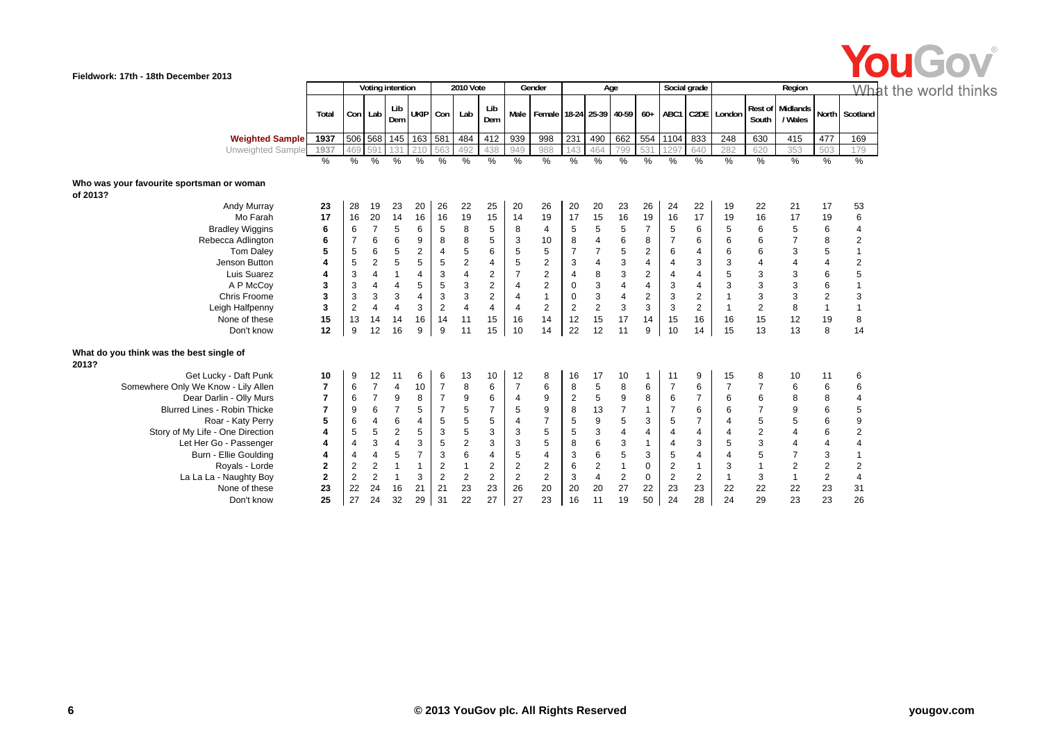

|                                                       |                |                |                | Voting intention        |                |                | 2010 Vote               |                |                | Gender                                                             |                |                         | Age            |                | Social grade   |                |                |                | Region                      |                | What f                  |  |
|-------------------------------------------------------|----------------|----------------|----------------|-------------------------|----------------|----------------|-------------------------|----------------|----------------|--------------------------------------------------------------------|----------------|-------------------------|----------------|----------------|----------------|----------------|----------------|----------------|-----------------------------|----------------|-------------------------|--|
|                                                       | Total          |                | Con Lab        | Lib<br>Dem              | UKIP Con       |                | Lab                     | Lib<br>Dem     |                | Male   Female   18-24   25-39   40-59   60+   ABC1   C2DE   London |                |                         |                |                |                |                |                | South          | Rest of Midlands<br>/ Wales |                | North Scotland          |  |
| <b>Weighted Sample</b>                                | 1937           |                | 506 568 145    |                         | 163 581        |                | 484                     | 412            | 939            | 998                                                                | 231            | 490                     | 662            | 554            | 1104           | 833            | 248            | 630            | 415                         | 477            | 169                     |  |
| Unweighted Sample                                     | 1937           | 469            | 591            | 131                     | 21C            | 56             | 492                     | 438            | 949            | 988                                                                | 143            | 464                     | 799            | 531            | 1297           | 640            | 282            | 620            | 353                         | 503            | 179                     |  |
|                                                       | $\%$           | %              | %              | %                       | %              | %              | %                       | %              | $\%$           | %                                                                  | %              | %                       | %              | %              | $\%$           | %              | %              | %              | %                           | %              | $\%$                    |  |
| Who was your favourite sportsman or woman<br>of 2013? |                |                |                |                         |                |                |                         |                |                |                                                                    |                |                         |                |                |                |                |                |                |                             |                |                         |  |
| Andy Murray                                           | 23             | 28             | 19             | 23                      | 20             | 26             | 22                      | 25             | 20             | 26                                                                 | 20             | 20                      | 23             | 26             | 24             | 22             | 19             | 22             | 21                          | 17             | 53                      |  |
| Mo Farah                                              | 17             | 16             | 20             | 14                      | 16             | 16             | 19                      | 15             | 14             | 19                                                                 | 17             | 15                      | 16             | 19             | 16             | 17             | 19             | 16             | 17                          | 19             | 6                       |  |
| <b>Bradley Wiggins</b>                                | 6              | 6              | $\overline{7}$ | 5                       | 6              | 5              | 8                       | 5              | 8              | 4                                                                  | 5              | 5                       | 5              | 7              | 5              | 6              | 5              | 6              | 5                           | 6              | $\overline{4}$          |  |
| Rebecca Adlington                                     | 6              |                | 6              | 6                       | 9              | 8              | 8                       | 5              | 3              | 10                                                                 | 8              | 4                       | 6              | 8              | $\overline{7}$ | 6              | 6              | 6              |                             | 8              | $\overline{\mathbf{c}}$ |  |
| <b>Tom Daley</b>                                      | 5              | 5              | 6              | 5                       | 2              | 4              | 5                       | 6              | 5              | 5                                                                  | $\overline{7}$ |                         | 5              | $\overline{c}$ | 6              | 4              | 6              | 6              | 3                           | $\overline{5}$ | $\mathbf{1}$            |  |
| Jenson Button                                         | 4              | 5              | $\overline{2}$ | 5                       | 5              | 5              | $\overline{\mathbf{c}}$ | 4              | 5              | $\mathbf{2}$                                                       | 3              | 4                       | 3              | 4              | 4              | 3              | 3              | $\overline{4}$ | $\overline{4}$              | 4              | $\overline{\mathbf{c}}$ |  |
| Luis Suarez                                           | 4              | 3              | 4              | -1                      | 4              | 3              | $\overline{4}$          | $\overline{2}$ | $\overline{7}$ | $\overline{2}$                                                     | $\overline{4}$ | 8                       | 3              | $\overline{c}$ | 4              | $\overline{4}$ | 5              | $\sqrt{3}$     | 3                           | 6              | 5                       |  |
| A P McCoy                                             | 3              | 3              | 4              | $\overline{4}$          | 5              | 5              | 3                       | 2              | 4              | $\mathbf{2}$                                                       | 0              | 3                       | $\overline{4}$ | 4              | 3              | 4              | 3              | 3              | 3                           | 6              | $\mathbf{1}$            |  |
| Chris Froome                                          | 3              | 3              | 3              | 3                       | 4              | 3              | 3                       | $\overline{2}$ | $\overline{4}$ | $\mathbf{1}$                                                       | 0              | 3                       | 4              | $\overline{c}$ | 3              | $\mathbf{2}$   |                | 3              | 3                           | $\overline{2}$ | 3                       |  |
| Leigh Halfpenny                                       | 3              | $\overline{c}$ | 4              | $\overline{4}$          | 3              | 2              | 4                       | $\overline{4}$ | $\overline{4}$ | 2                                                                  | $\overline{2}$ | $\overline{2}$          | 3              | 3              | 3              | $\overline{2}$ |                | $\overline{2}$ | 8                           | $\mathbf{1}$   | $\mathbf{1}$            |  |
| None of these                                         | 15             | 13             | 14             | 14                      | 16             | 14             | 11                      | 15             | 16             | 14                                                                 | 12             | 15                      | 17             | 14             | 15             | 16             | 16             | 15             | 12                          | 19             | 8                       |  |
| Don't know                                            | 12             | 9              | 12             | 16                      | 9              | 9              | 11                      | 15             | 10             | 14                                                                 | 22             | 12                      | 11             | 9              | 10             | 14             | 15             | 13             | 13                          | 8              | 14                      |  |
| What do you think was the best single of<br>2013?     |                |                |                |                         |                |                |                         |                |                |                                                                    |                |                         |                |                |                |                |                |                |                             |                |                         |  |
| Get Lucky - Daft Punk                                 | 10             | 9              | 12             | 11                      | 6              | 6              | 13                      | 10             | 12             | 8                                                                  | 16             | 17                      | 10             | $\mathbf{1}$   | 11             | 9              | 15             | 8              | 10                          | 11             | 6                       |  |
| Somewhere Only We Know - Lily Allen                   | $\overline{7}$ | 6              | $\overline{7}$ | $\overline{4}$          | 10             | $\overline{7}$ | 8                       | 6              | $\overline{7}$ | 6                                                                  | 8              | 5                       | 8              | 6              | $\overline{7}$ | 6              | $\overline{7}$ | $\overline{7}$ | 6                           | 6              | 6                       |  |
| Dear Darlin - Olly Murs                               | $\overline{7}$ | 6              | $\overline{7}$ | 9                       | 8              | $\overline{7}$ | 9                       | 6              | $\overline{4}$ | 9                                                                  | $\overline{2}$ | 5                       | 9              | 8              | 6              | $\overline{7}$ | 6              | 6              | 8                           | 8              | $\overline{4}$          |  |
| <b>Blurred Lines - Robin Thicke</b>                   | $\overline{7}$ | 9              | 6              | $\overline{7}$          | 5              | $\overline{7}$ | 5                       | $\overline{7}$ | 5              | 9                                                                  | 8              | 13                      | 7              | 1              | $\overline{7}$ | 6              | 6              | $\overline{7}$ | 9                           | 6              | 5                       |  |
| Roar - Katy Perry                                     | 5              | 6              | 4              | 6                       | 4              | 5              | 5                       | 5              | $\overline{4}$ | $\overline{7}$                                                     | 5              | 9                       | 5              | 3              | 5              | $\overline{7}$ | 4              | 5              | 5                           | 6              | 9                       |  |
| Story of My Life - One Direction                      | 4              | 5              | 5              | $\overline{2}$          | 5              | 3              | 5                       | 3              | 3              | 5                                                                  | 5              | 3                       | $\overline{4}$ | 4              | 4              | $\overline{4}$ | 4              | $\overline{2}$ | $\overline{4}$              | 6              | $\overline{\mathbf{c}}$ |  |
| Let Her Go - Passenger                                | 4              | 4              | 3              | $\overline{4}$          | 3              | 5              | $\overline{2}$          | 3              | 3              | 5                                                                  | 8              | 6                       | 3              | $\mathbf{1}$   | 4              | 3              | 5              | 3              | 4                           | $\overline{4}$ | $\overline{\mathbf{4}}$ |  |
| Burn - Ellie Goulding                                 | 4              | 4              | 4              | 5                       | $\overline{7}$ | 3              | 6                       | $\overline{4}$ | 5              | $\overline{4}$                                                     | 3              | 6                       | 5              | 3              | 5              | $\overline{4}$ | 4              | $\sqrt{5}$     | $\overline{7}$              | 3              | 1                       |  |
| Royals - Lorde                                        | $\mathbf{2}$   | $\overline{2}$ | $\overline{c}$ | $\overline{\mathbf{1}}$ |                | $\mathbf{2}$   | 1                       | 2              | $\overline{2}$ | $\mathbf{2}$                                                       | 6              | $\overline{\mathbf{c}}$ | $\mathbf 1$    | 0              | $\overline{2}$ | $\mathbf{1}$   | 3              | $\mathbf{1}$   | $\mathbf 2$                 | 2              | $\boldsymbol{2}$        |  |
| La La La - Naughty Boy                                | $\mathbf{2}$   | 2              | $\overline{2}$ | $\overline{\mathbf{1}}$ | 3              | $\overline{2}$ | $\overline{2}$          | 2              | 2              | 2                                                                  | 3              | $\overline{4}$          | $\overline{2}$ | $\mathbf 0$    | 2              | 2              | -1             | 3              | $\mathbf{1}$                | 2              | $\overline{\mathbf{4}}$ |  |
| None of these                                         | 23             | 22             | 24             | 16                      | 21             | 21             | 23                      | 23             | 26             | 20                                                                 | 20             | 20                      | 27             | 22             | 23             | 23             | 22             | 22             | 22                          | 23             | 31                      |  |
| Don't know                                            | 25             | 27             | 24             | 32                      | 29             | 31             | 22                      | 27             | 27             | 23                                                                 | 16             | 11                      | 19             | 50             | 24             | 28             | 24             | 29             | 23                          | 23             | 26                      |  |